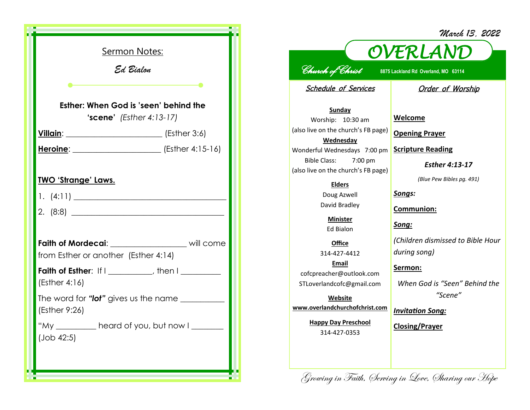| <u>Sermon Notes:</u><br>Ed Bialon<br>Esther: When God is 'seen' behind the             |  |  |
|----------------------------------------------------------------------------------------|--|--|
| <b>'scene'</b> (Esther $4:13-17$ )                                                     |  |  |
| <u>Villain: [2008]</u> (Esther 3:6)                                                    |  |  |
|                                                                                        |  |  |
|                                                                                        |  |  |
| Faith of Mordecai: _________________ will come<br>from Esther or another (Esther 4:14) |  |  |
| Faith of Esther: If I _________, then I _______<br>(Esther 4:16)                       |  |  |
| The word for "lot" gives us the name ____________<br>(Esther 9:26)                     |  |  |
| "My<br>heard of you, but now I<br>(Job 42:5)                                           |  |  |

|                                                                                                                                                                                                                                           | March 13, 2022                                                                                                                                                      |  |  |
|-------------------------------------------------------------------------------------------------------------------------------------------------------------------------------------------------------------------------------------------|---------------------------------------------------------------------------------------------------------------------------------------------------------------------|--|--|
| OVERLAND                                                                                                                                                                                                                                  |                                                                                                                                                                     |  |  |
|                                                                                                                                                                                                                                           |                                                                                                                                                                     |  |  |
| <u>Church</u> of Christ<br>8875 Lackland Rd Overland, MO 63114                                                                                                                                                                            |                                                                                                                                                                     |  |  |
| <b>Schedule of Services</b>                                                                                                                                                                                                               | <b>Order of Worship</b>                                                                                                                                             |  |  |
| <b>Sunday</b><br>Worship: 10:30 am<br>(also live on the church's FB page)<br>Wednesday<br>Wonderful Wednesdays 7:00 pm<br>Bible Class:<br>7:00 pm<br>(also live on the church's FB page)<br><b>Elders</b><br>Doug Azwell<br>David Bradley | Welcome<br><b>Opening Prayer</b><br><b>Scripture Reading</b><br>Esther 4:13-17<br>(Blue Pew Bibles pg. 491)<br>Songs:<br><u>Communion:</u>                          |  |  |
| <b>Minister</b><br><b>Ed Bialon</b>                                                                                                                                                                                                       | <u>Song:</u>                                                                                                                                                        |  |  |
| Office<br>314-427-4412<br>Email<br>cofcpreacher@outlook.com<br>STLoverlandcofc@gmail.com<br>Website<br>www.overlandchurchofchrist.com<br><b>Happy Day Preschool</b><br>314-427-0353                                                       | (Children dismissed to Bible Hour<br>during song)<br><u>Sermon:</u><br>When God is "Seen" Behind the<br>"Scene"<br><b>Invitation Song:</b><br><b>Closing/Prayer</b> |  |  |
|                                                                                                                                                                                                                                           |                                                                                                                                                                     |  |  |

Growing in Faith, Serving in Love, Sharing our Hope